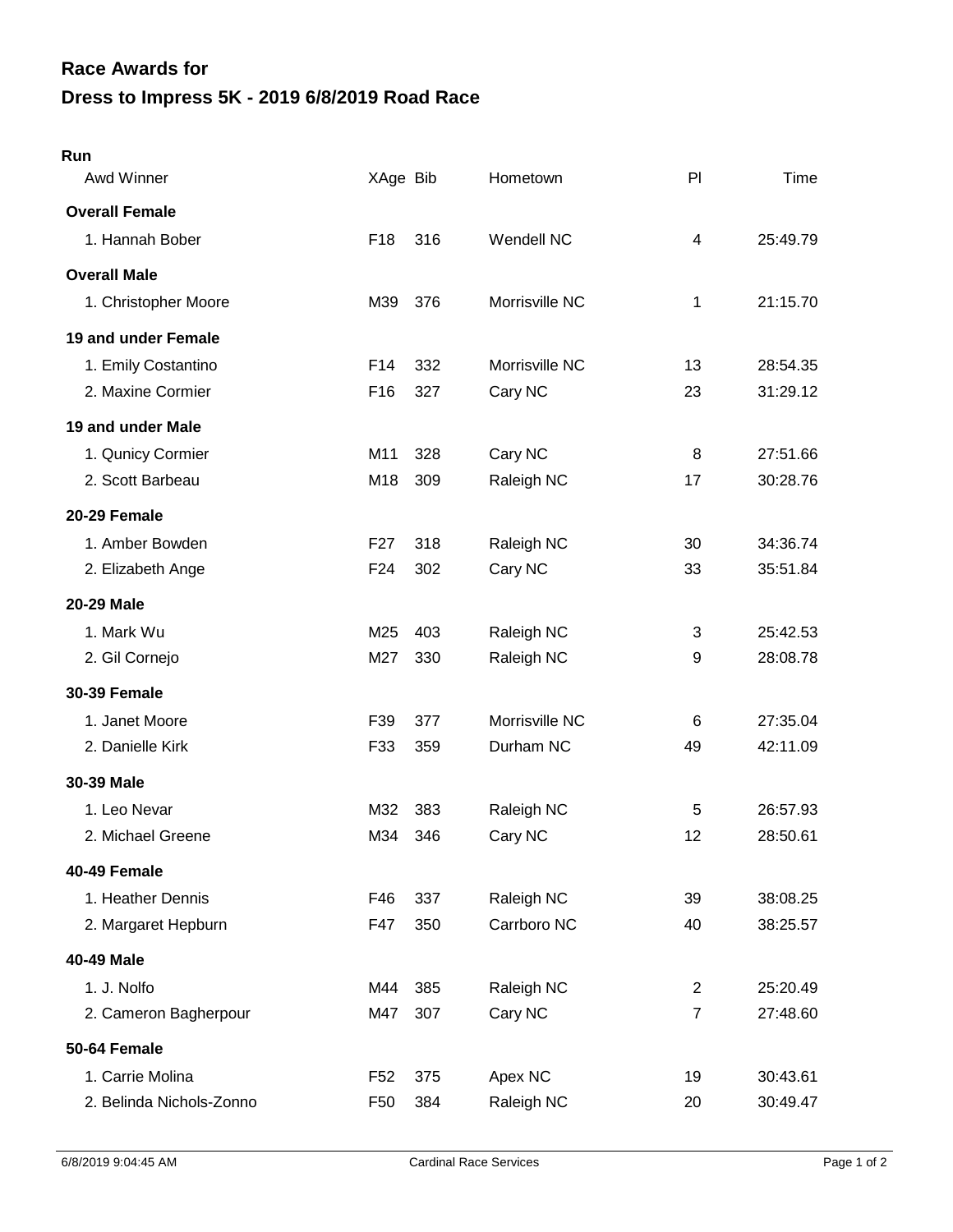| Run                      |                 |     |                   |                |          |
|--------------------------|-----------------|-----|-------------------|----------------|----------|
| Awd Winner               | XAge Bib        |     | Hometown          | P <sub>1</sub> | Time     |
| <b>Overall Female</b>    |                 |     |                   |                |          |
| 1. Hannah Bober          | F <sub>18</sub> | 316 | <b>Wendell NC</b> | 4              | 25:49.79 |
| <b>Overall Male</b>      |                 |     |                   |                |          |
| 1. Christopher Moore     | M39             | 376 | Morrisville NC    | 1              | 21:15.70 |
| 19 and under Female      |                 |     |                   |                |          |
| 1. Emily Costantino      | F <sub>14</sub> | 332 | Morrisville NC    | 13             | 28:54.35 |
| 2. Maxine Cormier        | F <sub>16</sub> | 327 | Cary NC           | 23             | 31:29.12 |
| 19 and under Male        |                 |     |                   |                |          |
| 1. Qunicy Cormier        | M11             | 328 | Cary NC           | 8              | 27:51.66 |
| 2. Scott Barbeau         | M18             | 309 | Raleigh NC        | 17             | 30:28.76 |
| 20-29 Female             |                 |     |                   |                |          |
| 1. Amber Bowden          | F <sub>27</sub> | 318 | Raleigh NC        | 30             | 34:36.74 |
| 2. Elizabeth Ange        | F <sub>24</sub> | 302 | Cary NC           | 33             | 35:51.84 |
| <b>20-29 Male</b>        |                 |     |                   |                |          |
| 1. Mark Wu               | M25             | 403 | Raleigh NC        | 3              | 25:42.53 |
| 2. Gil Cornejo           | M27             | 330 | Raleigh NC        | 9              | 28:08.78 |
| <b>30-39 Female</b>      |                 |     |                   |                |          |
| 1. Janet Moore           | F39             | 377 | Morrisville NC    | 6              | 27:35.04 |
| 2. Danielle Kirk         | F33             | 359 | Durham NC         | 49             | 42:11.09 |
| 30-39 Male               |                 |     |                   |                |          |
| 1. Leo Nevar             | M32             | 383 | Raleigh NC        | 5              | 26:57.93 |
| 2. Michael Greene        | M34             | 346 | Cary NC           | 12             | 28:50.61 |
| 40-49 Female             |                 |     |                   |                |          |
| 1. Heather Dennis        | F46             | 337 | Raleigh NC        | 39             | 38:08.25 |
| 2. Margaret Hepburn      | F47             | 350 | Carrboro NC       | 40             | 38:25.57 |
| 40-49 Male               |                 |     |                   |                |          |
| 1. J. Nolfo              | M44             | 385 | Raleigh NC        | 2              | 25:20.49 |
| 2. Cameron Bagherpour    | M47             | 307 | Cary NC           | $\overline{7}$ | 27:48.60 |
| 50-64 Female             |                 |     |                   |                |          |
| 1. Carrie Molina         | F <sub>52</sub> | 375 | Apex NC           | 19             | 30:43.61 |
| 2. Belinda Nichols-Zonno | F <sub>50</sub> | 384 | Raleigh NC        | 20             | 30:49.47 |